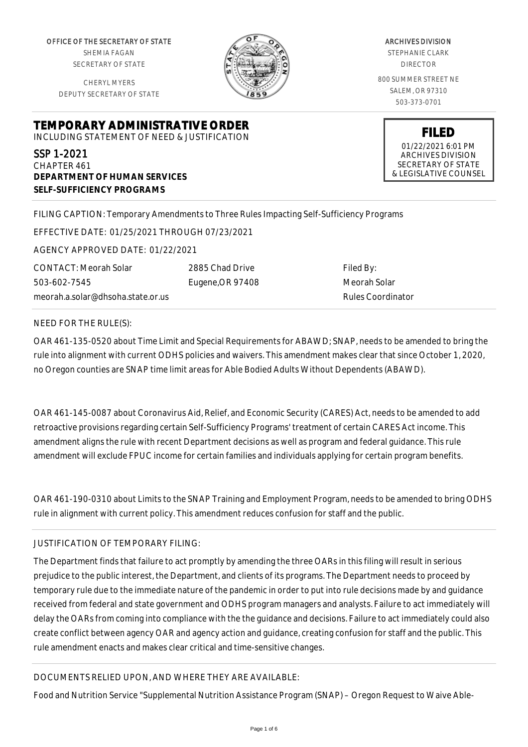OFFICE OF THE SECRETARY OF STATE SHEMIA FAGAN SECRETARY OF STATE

CHERYL MYERS DEPUTY SECRETARY OF STATE



ARCHIVES DIVISION STEPHANIE CLARK DIRECTOR 800 SUMMER STREET NE SALEM, OR 97310 503-373-0701

> **FILED** 01/22/2021 6:01 PM ARCHIVES DIVISION SECRETARY OF STATE & LEGISLATIVE COUNSEL

**TEMPORARY ADMINISTRATIVE ORDER** INCLUDING STATEMENT OF NEED & JUSTIFICATION

SSP 1-2021 CHAPTER 461 **DEPARTMENT OF HUMAN SERVICES SELF-SUFFICIENCY PROGRAMS**

FILING CAPTION: Temporary Amendments to Three Rules Impacting Self-Sufficiency Programs

EFFECTIVE DATE: 01/25/2021 THROUGH 07/23/2021

AGENCY APPROVED DATE: 01/22/2021

CONTACT: Meorah Solar 503-602-7545 meorah.a.solar@dhsoha.state.or.us 2885 Chad Drive Eugene,OR 97408

Filed By: Meorah Solar Rules Coordinator

NEED FOR THE RULE(S):

OAR 461-135-0520 about Time Limit and Special Requirements for ABAWD; SNAP, needs to be amended to bring the rule into alignment with current ODHS policies and waivers. This amendment makes clear that since October 1, 2020, no Oregon counties are SNAP time limit areas for Able Bodied Adults Without Dependents (ABAWD).

OAR 461-145-0087 about Coronavirus Aid, Relief, and Economic Security (CARES) Act, needs to be amended to add retroactive provisions regarding certain Self-Sufficiency Programs' treatment of certain CARES Act income. This amendment aligns the rule with recent Department decisions as well as program and federal guidance. This rule amendment will exclude FPUC income for certain families and individuals applying for certain program benefits.

OAR 461-190-0310 about Limits to the SNAP Training and Employment Program, needs to be amended to bring ODHS rule in alignment with current policy. This amendment reduces confusion for staff and the public.

## JUSTIFICATION OF TEMPORARY FILING:

The Department finds that failure to act promptly by amending the three OARs in this filing will result in serious prejudice to the public interest, the Department, and clients of its programs. The Department needs to proceed by temporary rule due to the immediate nature of the pandemic in order to put into rule decisions made by and guidance received from federal and state government and ODHS program managers and analysts. Failure to act immediately will delay the OARs from coming into compliance with the the guidance and decisions. Failure to act immediately could also create conflict between agency OAR and agency action and guidance, creating confusion for staff and the public. This rule amendment enacts and makes clear critical and time-sensitive changes.

## DOCUMENTS RELIED UPON, AND WHERE THEY ARE AVAILABLE:

Food and Nutrition Service "Supplemental Nutrition Assistance Program (SNAP) – Oregon Request to Waive Able-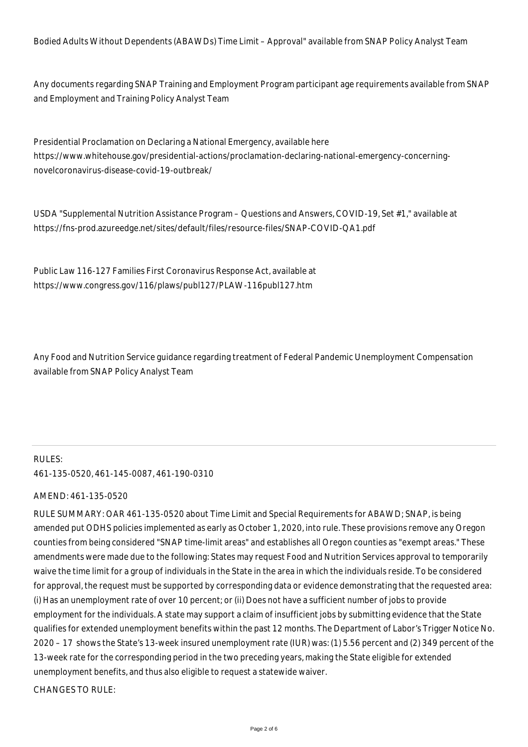Bodied Adults Without Dependents (ABAWDs) Time Limit – Approval" available from SNAP Policy Analyst Team

Any documents regarding SNAP Training and Employment Program participant age requirements available from SNAP and Employment and Training Policy Analyst Team

Presidential Proclamation on Declaring a National Emergency, available here https://www.whitehouse.gov/presidential-actions/proclamation-declaring-national-emergency-concerningnovelcoronavirus-disease-covid-19-outbreak/

USDA "Supplemental Nutrition Assistance Program – Questions and Answers, COVID-19, Set #1," available at https://fns-prod.azureedge.net/sites/default/files/resource-files/SNAP-COVID-QA1.pdf

Public Law 116-127 Families First Coronavirus Response Act, available at https://www.congress.gov/116/plaws/publ127/PLAW-116publ127.htm

Any Food and Nutrition Service guidance regarding treatment of Federal Pandemic Unemployment Compensation available from SNAP Policy Analyst Team

# RULES: 461-135-0520, 461-145-0087, 461-190-0310

### AMEND: 461-135-0520

RULE SUMMARY: OAR 461-135-0520 about Time Limit and Special Requirements for ABAWD; SNAP, is being amended put ODHS policies implemented as early as October 1, 2020, into rule. These provisions remove any Oregon counties from being considered "SNAP time-limit areas" and establishes all Oregon counties as "exempt areas." These amendments were made due to the following: States may request Food and Nutrition Services approval to temporarily waive the time limit for a group of individuals in the State in the area in which the individuals reside. To be considered for approval, the request must be supported by corresponding data or evidence demonstrating that the requested area: (i) Has an unemployment rate of over 10 percent; or (ii) Does not have a sufficient number of jobs to provide employment for the individuals. A state may support a claim of insufficient jobs by submitting evidence that the State qualifies for extended unemployment benefits within the past 12 months. The Department of Labor's Trigger Notice No. 2020 – 17 shows the State's 13-week insured unemployment rate (IUR) was: (1) 5.56 percent and (2) 349 percent of the 13-week rate for the corresponding period in the two preceding years, making the State eligible for extended unemployment benefits, and thus also eligible to request a statewide waiver.

CHANGES TO RULE: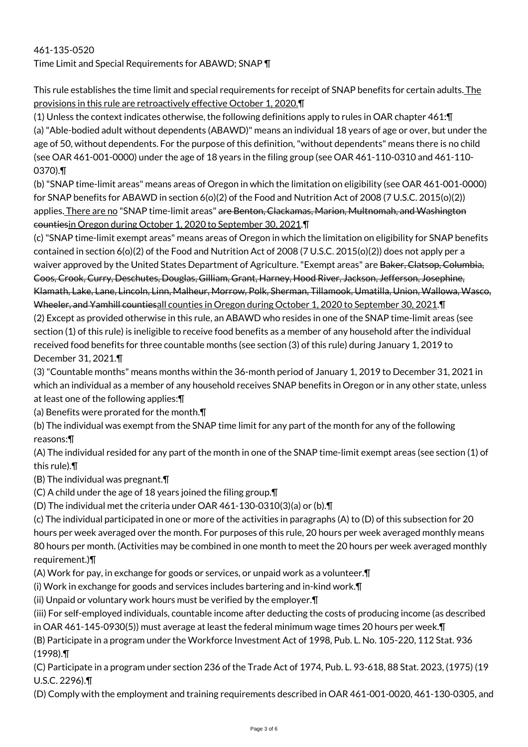# 461-135-0520 Time Limit and Special Requirements for ABAWD; SNAP ¶

This rule establishes the time limit and special requirements for receipt of SNAP benefits for certain adults. The provisions in this rule are retroactively effective October 1, 2020.¶

(1) Unless the context indicates otherwise, the following definitions apply to rules in OAR chapter 461:¶ (a) "Able-bodied adult without dependents (ABAWD)" means an individual 18 years of age or over, but under the age of 50, without dependents. For the purpose of this definition, "without dependents" means there is no child (see OAR 461-001-0000) under the age of 18 years in the filing group (see OAR 461-110-0310 and 461-110- 0370).¶

(b) "SNAP time-limit areas" means areas of Oregon in which the limitation on eligibility (see OAR 461-001-0000) for SNAP benefits for ABAWD in section 6(o)(2) of the Food and Nutrition Act of 2008 (7 U.S.C. 2015(o)(2)) applies. There are no "SNAP time-limit areas" are Benton, Clackamas, Marion, Multnomah, and Washington countiesin Oregon during October 1, 2020 to September 30, 2021.¶

(c) "SNAP time-limit exempt areas" means areas of Oregon in which the limitation on eligibility for SNAP benefits contained in section 6(o)(2) of the Food and Nutrition Act of 2008 (7 U.S.C. 2015(o)(2)) does not apply per a waiver approved by the United States Department of Agriculture. "Exempt areas" are <del>Baker, Clatsop, Columbia,</del> Coos, Crook, Curry, Deschutes, Douglas, Gilliam, Grant, Harney, Hood River, Jackson, Jefferson, Josephine, Klamath, Lake, Lane, Lincoln, Linn, Malheur, Morrow, Polk, Sherman, Tillamook, Umatilla, Union, Wallowa, Wasco, Wheeler, and Yamhill countiesall counties in Oregon during October 1, 2020 to September 30, 2021.¶

(2) Except as provided otherwise in this rule, an ABAWD who resides in one of the SNAP time-limit areas (see section (1) of this rule) is ineligible to receive food benefits as a member of any household after the individual received food benefits for three countable months (see section (3) of this rule) during January 1, 2019 to December 31, 2021.¶

(3) "Countable months" means months within the 36-month period of January 1, 2019 to December 31, 2021 in which an individual as a member of any household receives SNAP benefits in Oregon or in any other state, unless at least one of the following applies:¶

(a) Benefits were prorated for the month.¶

(b) The individual was exempt from the SNAP time limit for any part of the month for any of the following reasons:¶

(A) The individual resided for any part of the month in one of the SNAP time-limit exempt areas (see section (1) of this rule).¶

(B) The individual was pregnant.¶

(C) A child under the age of 18 years joined the filing group.¶

(D) The individual met the criteria under OAR 461-130-0310(3)(a) or (b).¶

(c) The individual participated in one or more of the activities in paragraphs (A) to (D) of this subsection for 20 hours per week averaged over the month. For purposes of this rule, 20 hours per week averaged monthly means 80 hours per month. (Activities may be combined in one month to meet the 20 hours per week averaged monthly requirement.)¶

(A) Work for pay, in exchange for goods or services, or unpaid work as a volunteer.¶

(i) Work in exchange for goods and services includes bartering and in-kind work.¶

(ii) Unpaid or voluntary work hours must be verified by the employer.¶

(iii) For self-employed individuals, countable income after deducting the costs of producing income (as described in OAR 461-145-0930(5)) must average at least the federal minimum wage times 20 hours per week.¶

(B) Participate in a program under the Workforce Investment Act of 1998, Pub. L. No. 105-220, 112 Stat. 936 (1998).¶

(C) Participate in a program under section 236 of the Trade Act of 1974, Pub. L. 93-618, 88 Stat. 2023, (1975) (19 U.S.C. 2296).¶

(D) Comply with the employment and training requirements described in OAR 461-001-0020, 461-130-0305, and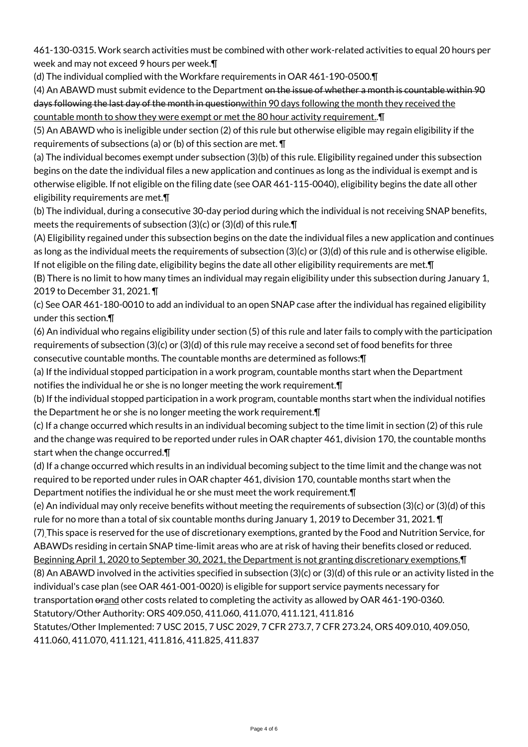461-130-0315. Work search activities must be combined with other work-related activities to equal 20 hours per week and may not exceed 9 hours per week.¶

(d) The individual complied with the Workfare requirements in OAR 461-190-0500.¶

(4) An ABAWD must submit evidence to the Department on the issue of whether a month is countable within 90 days following the last day of the month in question within 90 days following the month they received the countable month to show they were exempt or met the 80 hour activity requirement..¶

(5) An ABAWD who is ineligible under section (2) of this rule but otherwise eligible may regain eligibility if the requirements of subsections (a) or (b) of this section are met. ¶

(a) The individual becomes exempt under subsection (3)(b) of this rule. Eligibility regained under this subsection begins on the date the individual files a new application and continues as long as the individual is exempt and is otherwise eligible. If not eligible on the filing date (see OAR 461-115-0040), eligibility begins the date all other eligibility requirements are met.¶

(b) The individual, during a consecutive 30-day period during which the individual is not receiving SNAP benefits, meets the requirements of subsection (3)(c) or (3)(d) of this rule.¶

(A) Eligibility regained under this subsection begins on the date the individual files a new application and continues as long as the individual meets the requirements of subsection (3)(c) or (3)(d) of this rule and is otherwise eligible. If not eligible on the filing date, eligibility begins the date all other eligibility requirements are met.¶

(B) There is no limit to how many times an individual may regain eligibility under this subsection during January 1, 2019 to December 31, 2021. ¶

(c) See OAR 461-180-0010 to add an individual to an open SNAP case after the individual has regained eligibility under this section.¶

(6) An individual who regains eligibility under section (5) of this rule and later fails to comply with the participation requirements of subsection (3)(c) or (3)(d) of this rule may receive a second set of food benefits for three consecutive countable months. The countable months are determined as follows:¶

(a) If the individual stopped participation in a work program, countable months start when the Department notifies the individual he or she is no longer meeting the work requirement.¶

(b) If the individual stopped participation in a work program, countable months start when the individual notifies the Department he or she is no longer meeting the work requirement.¶

(c) If a change occurred which results in an individual becoming subject to the time limit in section (2) of this rule and the change was required to be reported under rules in OAR chapter 461, division 170, the countable months start when the change occurred.¶

(d) If a change occurred which results in an individual becoming subject to the time limit and the change was not required to be reported under rules in OAR chapter 461, division 170, countable months start when the Department notifies the individual he or she must meet the work requirement.¶

(e) An individual may only receive benefits without meeting the requirements of subsection (3)(c) or (3)(d) of this rule for no more than a total of six countable months during January 1, 2019 to December 31, 2021. ¶

(7) This space is reserved for the use of discretionary exemptions, granted by the Food and Nutrition Service, for ABAWDs residing in certain SNAP time-limit areas who are at risk of having their benefits closed or reduced.

Beginning April 1, 2020 to September 30, 2021, the Department is not granting discretionary exemptions.¶ (8) An ABAWD involved in the activities specified in subsection (3)(c) or (3)(d) of this rule or an activity listed in the individual's case plan (see OAR 461-001-0020) is eligible for support service payments necessary for transportation orand other costs related to completing the activity as allowed by OAR 461-190-0360.

Statutory/Other Authority: ORS 409.050, 411.060, 411.070, 411.121, 411.816

Statutes/Other Implemented: 7 USC 2015, 7 USC 2029, 7 CFR 273.7, 7 CFR 273.24, ORS 409.010, 409.050, 411.060, 411.070, 411.121, 411.816, 411.825, 411.837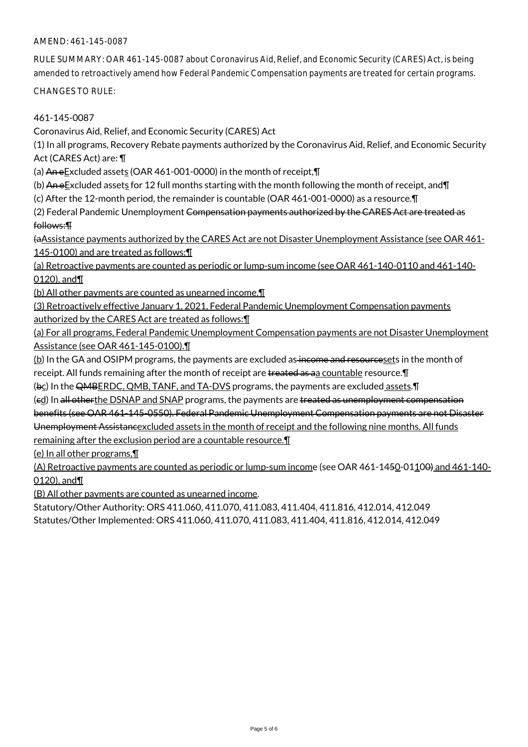### AMEND: 461-145-0087

RULE SUMMARY: OAR 461-145-0087 about Coronavirus Aid, Relief, and Economic Security (CARES) Act, is being amended to retroactively amend how Federal Pandemic Compensation payments are treated for certain programs.

CHANGES TO RULE:

461-145-0087

Coronavirus Aid, Relief, and Economic Security (CARES) Act

(1) In all programs, Recovery Rebate payments authorized by the Coronavirus Aid, Relief, and Economic Security Act (CARES Act) are: ¶

(a) An eExcluded assets (OAR 461-001-0000) in the month of receipt,¶

(b) An eExcluded assets for 12 full months starting with the month following the month of receipt, and  $\P$ 

(c) After the 12-month period, the remainder is countable (OAR 461-001-0000) as a resource.¶

(2) Federal Pandemic Unemployment Compensation payments authorized by the CARES Act are treated as follows:¶

(aAssistance payments authorized by the CARES Act are not Disaster Unemployment Assistance (see OAR 461- 145-0100) and are treated as follows: II

(a) Retroactive payments are counted as periodic or lump-sum income (see OAR 461-140-0110 and 461-140- 0120), and¶

(b) All other payments are counted as unearned income.¶

(3) Retroactively effective January 1, 2021, Federal Pandemic Unemployment Compensation payments authorized by the CARES Act are treated as follows:¶

(a) For all programs, Federal Pandemic Unemployment Compensation payments are not Disaster Unemployment Assistance (see OAR 461-145-0100).¶

 $(b)$  In the GA and OSIPM programs, the payments are excluded as income and resources ets in the month of receipt. All funds remaining after the month of receipt are treated as aa countable resource. T

(bc) In the QMBERDC, QMB, TANF, and TA-DVS programs, the payments are excluded assets. [I]

(ed) In all otherthe DSNAP and SNAP programs, the payments are treated as unemployment compensation

benefits (see OAR 461-145-0550). Federal Pandemic Unemployment Compensation payments are not Disaster

Unemployment Assistancexcluded assets in the month of receipt and the following nine months. All funds

remaining after the exclusion period are a countable resource.¶

(e) In all other programs,¶

(A) Retroactive payments are counted as periodic or lump-sum income (see OAR 461-1450-01100) and 461-140-0120), and¶

(B) All other payments are counted as unearned income.

Statutory/Other Authority: ORS 411.060, 411.070, 411.083, 411.404, 411.816, 412.014, 412.049 Statutes/Other Implemented: ORS 411.060, 411.070, 411.083, 411.404, 411.816, 412.014, 412.049